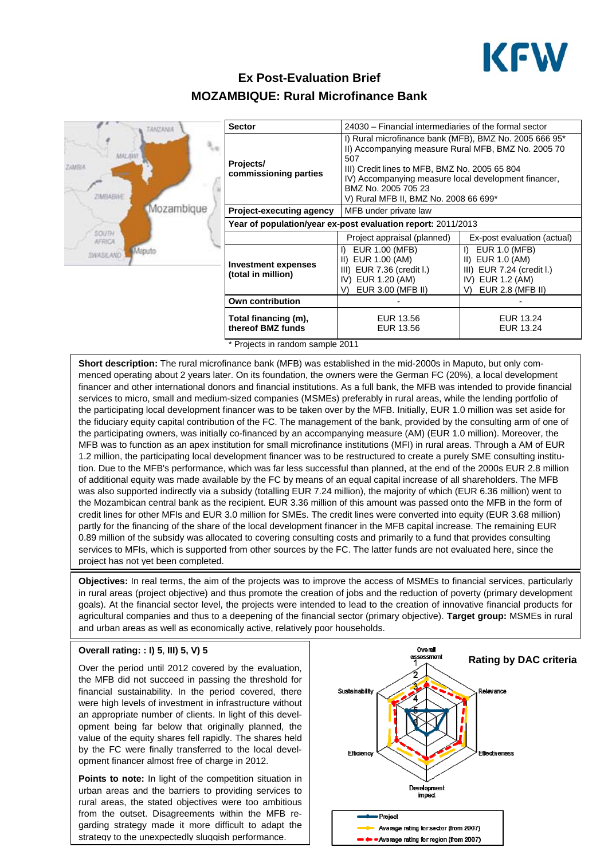

# **Ex Post-Evaluation Brief MOZAMBIQUE: Rural Microfinance Bank**



| <b>Sector</b>                                                | 24030 – Financial intermediaries of the formal sector                                                                                                                                                                                                                                         |                                                                                                                                     |
|--------------------------------------------------------------|-----------------------------------------------------------------------------------------------------------------------------------------------------------------------------------------------------------------------------------------------------------------------------------------------|-------------------------------------------------------------------------------------------------------------------------------------|
| Projects/<br>commissioning parties                           | I) Rural microfinance bank (MFB), BMZ No. 2005 666 95*<br>II) Accompanying measure Rural MFB, BMZ No. 2005 70<br>507<br>III) Credit lines to MFB, BMZ No. 2005 65 804<br>IV) Accompanying measure local development financer,<br>BMZ No. 2005 705 23<br>V) Rural MFB II, BMZ No. 2008 66 699* |                                                                                                                                     |
| <b>Project-executing agency</b>                              | MFB under private law                                                                                                                                                                                                                                                                         |                                                                                                                                     |
| Year of population/year ex-post evaluation report: 2011/2013 |                                                                                                                                                                                                                                                                                               |                                                                                                                                     |
|                                                              | Project appraisal (planned)                                                                                                                                                                                                                                                                   | Ex-post evaluation (actual)                                                                                                         |
| <b>Investment expenses</b><br>(total in million)             | EUR 1.00 (MFB)<br>D.<br>II) EUR 1.00 (AM)<br>III) EUR 7.36 (credit I.)<br>IV) EUR 1.20 (AM)<br>EUR 3.00 (MFB II)<br>V)                                                                                                                                                                        | $\mathsf{D}$<br><b>EUR 1.0 (MFB)</b><br>II) EUR 1.0 (AM)<br>III) EUR 7.24 (credit I.)<br>IV) EUR 1.2 (AM)<br>EUR 2.8 (MFB II)<br>V) |
| <b>Own contribution</b>                                      |                                                                                                                                                                                                                                                                                               |                                                                                                                                     |
| Total financing (m),<br>thereof BMZ funds                    | EUR 13.56<br>EUR 13.56                                                                                                                                                                                                                                                                        | EUR 13.24<br>EUR 13.24                                                                                                              |
| * Projects in random sample 2011                             |                                                                                                                                                                                                                                                                                               |                                                                                                                                     |

**Short description:** The rural microfinance bank (MFB) was established in the mid-2000s in Maputo, but only commenced operating about 2 years later. On its foundation, the owners were the German FC (20%), a local development financer and other international donors and financial institutions. As a full bank, the MFB was intended to provide financial services to micro, small and medium-sized companies (MSMEs) preferably in rural areas, while the lending portfolio of the participating local development financer was to be taken over by the MFB. Initially, EUR 1.0 million was set aside for the fiduciary equity capital contribution of the FC. The management of the bank, provided by the consulting arm of one of the participating owners, was initially co-financed by an accompanying measure (AM) (EUR 1.0 million). Moreover, the MFB was to function as an apex institution for small microfinance institutions (MFI) in rural areas. Through a AM of EUR 1.2 million, the participating local development financer was to be restructured to create a purely SME consulting institution. Due to the MFB's performance, which was far less successful than planned, at the end of the 2000s EUR 2.8 million of additional equity was made available by the FC by means of an equal capital increase of all shareholders. The MFB was also supported indirectly via a subsidy (totalling EUR 7.24 million), the majority of which (EUR 6.36 million) went to the Mozambican central bank as the recipient. EUR 3.36 million of this amount was passed onto the MFB in the form of credit lines for other MFIs and EUR 3.0 million for SMEs. The credit lines were converted into equity (EUR 3.68 million) partly for the financing of the share of the local development financer in the MFB capital increase. The remaining EUR 0.89 million of the subsidy was allocated to covering consulting costs and primarily to a fund that provides consulting services to MFIs, which is supported from other sources by the FC. The latter funds are not evaluated here, since the project has not yet been completed.

**Objectives:** In real terms, the aim of the projects was to improve the access of MSMEs to financial services, particularly in rural areas (project objective) and thus promote the creation of jobs and the reduction of poverty (primary development goals). At the financial sector level, the projects were intended to lead to the creation of innovative financial products for agricultural companies and thus to a deepening of the financial sector (primary objective). **Target group:** MSMEs in rural and urban areas as well as economically active, relatively poor households.

#### **Overall rating: : I) 5**, **III) 5, V) 5**

Over the period until 2012 covered by the evaluation, the MFB did not succeed in passing the threshold for financial sustainability. In the period covered, there were high levels of investment in infrastructure without an appropriate number of clients. In light of this development being far below that originally planned, the value of the equity shares fell rapidly. The shares held by the FC were finally transferred to the local development financer almost free of charge in 2012.

**Points to note:** In light of the competition situation in urban areas and the barriers to providing services to rural areas, the stated objectives were too ambitious from the outset. Disagreements within the MFB regarding strategy made it more difficult to adapt the strategy to the unexpectedly sluggish performance.

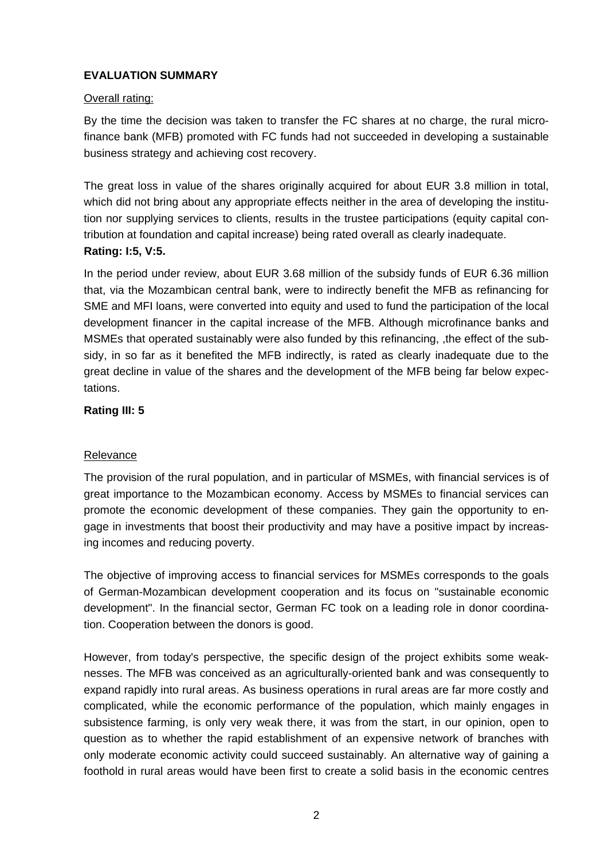# **EVALUATION SUMMARY**

#### Overall rating:

By the time the decision was taken to transfer the FC shares at no charge, the rural microfinance bank (MFB) promoted with FC funds had not succeeded in developing a sustainable business strategy and achieving cost recovery.

The great loss in value of the shares originally acquired for about EUR 3.8 million in total, which did not bring about any appropriate effects neither in the area of developing the institution nor supplying services to clients, results in the trustee participations (equity capital contribution at foundation and capital increase) being rated overall as clearly inadequate. **Rating: I:5, V:5.**

In the period under review, about EUR 3.68 million of the subsidy funds of EUR 6.36 million that, via the Mozambican central bank, were to indirectly benefit the MFB as refinancing for SME and MFI loans, were converted into equity and used to fund the participation of the local development financer in the capital increase of the MFB. Although microfinance banks and MSMEs that operated sustainably were also funded by this refinancing, ,the effect of the subsidy, in so far as it benefited the MFB indirectly, is rated as clearly inadequate due to the great decline in value of the shares and the development of the MFB being far below expectations.

### **Rating III: 5**

#### Relevance

The provision of the rural population, and in particular of MSMEs, with financial services is of great importance to the Mozambican economy. Access by MSMEs to financial services can promote the economic development of these companies. They gain the opportunity to engage in investments that boost their productivity and may have a positive impact by increasing incomes and reducing poverty.

The objective of improving access to financial services for MSMEs corresponds to the goals of German-Mozambican development cooperation and its focus on "sustainable economic development". In the financial sector, German FC took on a leading role in donor coordination. Cooperation between the donors is good.

However, from today's perspective, the specific design of the project exhibits some weaknesses. The MFB was conceived as an agriculturally-oriented bank and was consequently to expand rapidly into rural areas. As business operations in rural areas are far more costly and complicated, while the economic performance of the population, which mainly engages in subsistence farming, is only very weak there, it was from the start, in our opinion, open to question as to whether the rapid establishment of an expensive network of branches with only moderate economic activity could succeed sustainably. An alternative way of gaining a foothold in rural areas would have been first to create a solid basis in the economic centres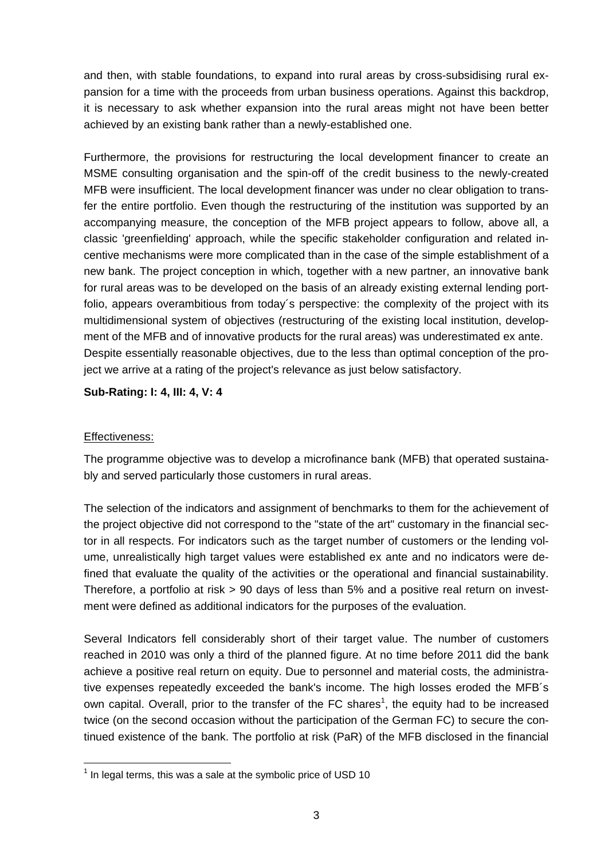and then, with stable foundations, to expand into rural areas by cross-subsidising rural expansion for a time with the proceeds from urban business operations. Against this backdrop, it is necessary to ask whether expansion into the rural areas might not have been better achieved by an existing bank rather than a newly-established one.

Furthermore, the provisions for restructuring the local development financer to create an MSME consulting organisation and the spin-off of the credit business to the newly-created MFB were insufficient. The local development financer was under no clear obligation to transfer the entire portfolio. Even though the restructuring of the institution was supported by an accompanying measure, the conception of the MFB project appears to follow, above all, a classic 'greenfielding' approach, while the specific stakeholder configuration and related incentive mechanisms were more complicated than in the case of the simple establishment of a new bank. The project conception in which, together with a new partner, an innovative bank for rural areas was to be developed on the basis of an already existing external lending portfolio, appears overambitious from today´s perspective: the complexity of the project with its multidimensional system of objectives (restructuring of the existing local institution, development of the MFB and of innovative products for the rural areas) was underestimated ex ante. Despite essentially reasonable objectives, due to the less than optimal conception of the project we arrive at a rating of the project's relevance as just below satisfactory.

**Sub-Rating: I: 4, III: 4, V: 4** 

#### Effectiveness:

The programme objective was to develop a microfinance bank (MFB) that operated sustainably and served particularly those customers in rural areas.

The selection of the indicators and assignment of benchmarks to them for the achievement of the project objective did not correspond to the "state of the art" customary in the financial sector in all respects. For indicators such as the target number of customers or the lending volume, unrealistically high target values were established ex ante and no indicators were defined that evaluate the quality of the activities or the operational and financial sustainability. Therefore, a portfolio at risk > 90 days of less than 5% and a positive real return on investment were defined as additional indicators for the purposes of the evaluation.

Several Indicators fell considerably short of their target value. The number of customers reached in 2010 was only a third of the planned figure. At no time before 2011 did the bank achieve a positive real return on equity. Due to personnel and material costs, the administrative expenses repeatedly exceeded the bank's income. The high losses eroded the MFB´s own capital. Overall, prior to the transfer of the FC shares<sup>1</sup>, the equity had to be increased twice (on the second occasion without the participation of the German FC) to secure the continued existence of the bank. The portfolio at risk (PaR) of the MFB disclosed in the financial

 $<sup>1</sup>$  In legal terms, this was a sale at the symbolic price of USD 10</sup>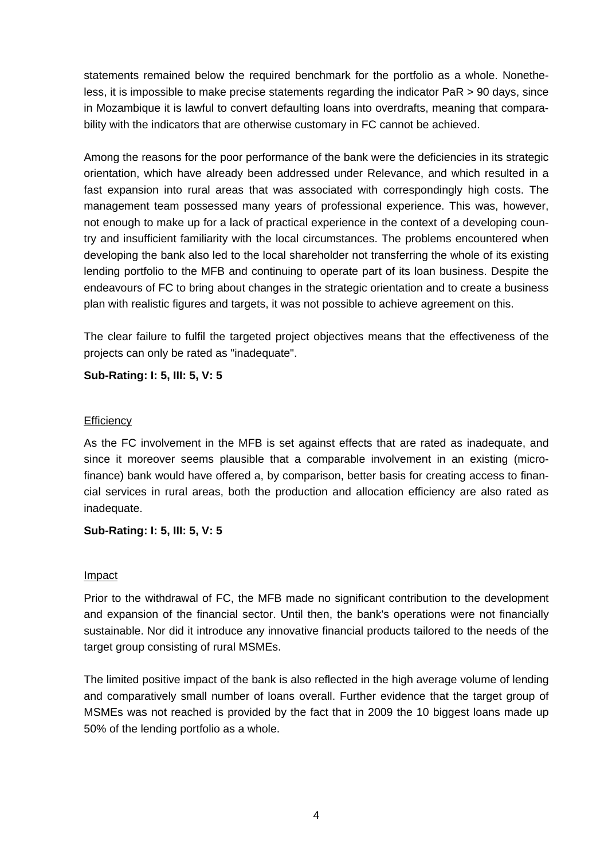statements remained below the required benchmark for the portfolio as a whole. Nonetheless, it is impossible to make precise statements regarding the indicator PaR > 90 days, since in Mozambique it is lawful to convert defaulting loans into overdrafts, meaning that comparability with the indicators that are otherwise customary in FC cannot be achieved.

Among the reasons for the poor performance of the bank were the deficiencies in its strategic orientation, which have already been addressed under Relevance, and which resulted in a fast expansion into rural areas that was associated with correspondingly high costs. The management team possessed many years of professional experience. This was, however, not enough to make up for a lack of practical experience in the context of a developing country and insufficient familiarity with the local circumstances. The problems encountered when developing the bank also led to the local shareholder not transferring the whole of its existing lending portfolio to the MFB and continuing to operate part of its loan business. Despite the endeavours of FC to bring about changes in the strategic orientation and to create a business plan with realistic figures and targets, it was not possible to achieve agreement on this.

The clear failure to fulfil the targeted project objectives means that the effectiveness of the projects can only be rated as "inadequate".

**Sub-Rating: I: 5, III: 5, V: 5** 

### **Efficiency**

As the FC involvement in the MFB is set against effects that are rated as inadequate, and since it moreover seems plausible that a comparable involvement in an existing (microfinance) bank would have offered a, by comparison, better basis for creating access to financial services in rural areas, both the production and allocation efficiency are also rated as inadequate.

# **Sub-Rating: I: 5, III: 5, V: 5**

#### Impact

Prior to the withdrawal of FC, the MFB made no significant contribution to the development and expansion of the financial sector. Until then, the bank's operations were not financially sustainable. Nor did it introduce any innovative financial products tailored to the needs of the target group consisting of rural MSMEs.

The limited positive impact of the bank is also reflected in the high average volume of lending and comparatively small number of loans overall. Further evidence that the target group of MSMEs was not reached is provided by the fact that in 2009 the 10 biggest loans made up 50% of the lending portfolio as a whole.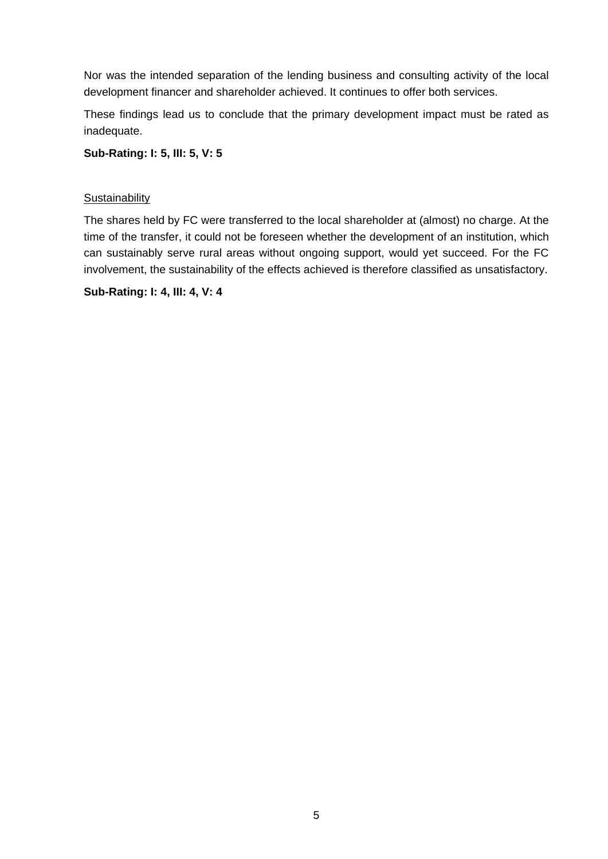Nor was the intended separation of the lending business and consulting activity of the local development financer and shareholder achieved. It continues to offer both services.

These findings lead us to conclude that the primary development impact must be rated as inadequate.

**Sub-Rating: I: 5, III: 5, V: 5** 

### **Sustainability**

The shares held by FC were transferred to the local shareholder at (almost) no charge. At the time of the transfer, it could not be foreseen whether the development of an institution, which can sustainably serve rural areas without ongoing support, would yet succeed. For the FC involvement, the sustainability of the effects achieved is therefore classified as unsatisfactory.

**Sub-Rating: I: 4, III: 4, V: 4**